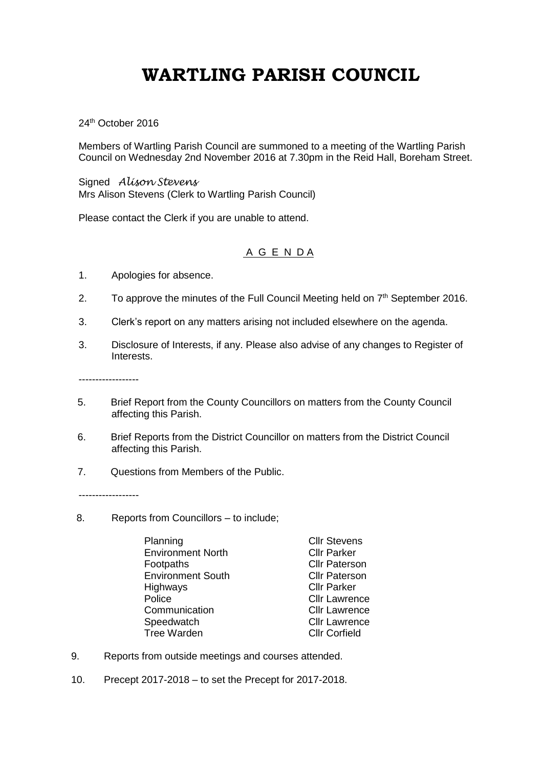## **WARTLING PARISH COUNCIL**

24<sup>th</sup> October 2016

Members of Wartling Parish Council are summoned to a meeting of the Wartling Parish Council on Wednesday 2nd November 2016 at 7.30pm in the Reid Hall, Boreham Street.

Signed *Alison Stevens* Mrs Alison Stevens (Clerk to Wartling Parish Council)

Please contact the Clerk if you are unable to attend.

## A G E N D A

- 1. Apologies for absence.
- 2. To approve the minutes of the Full Council Meeting held on  $7<sup>th</sup>$  September 2016.
- 3. Clerk's report on any matters arising not included elsewhere on the agenda.
- 3. Disclosure of Interests, if any. Please also advise of any changes to Register of Interests.

------------------

- 5. Brief Report from the County Councillors on matters from the County Council affecting this Parish.
- 6. Brief Reports from the District Councillor on matters from the District Council affecting this Parish.
- 7. Questions from Members of the Public.

------------------

- 8. Reports from Councillors to include;
	- Planning Cllr Stevens Environment North Cllr Parker Footpaths **Cllr** Paterson Environment South Cllr Paterson Highways Cllr Parker Police **Cllr** Lawrence Communication Cllr Lawrence Speedwatch Cllr Lawrence<br>
	Tree Warden Cllr Corfield Tree Warden

- 9. Reports from outside meetings and courses attended.
- 10. Precept 2017-2018 to set the Precept for 2017-2018.